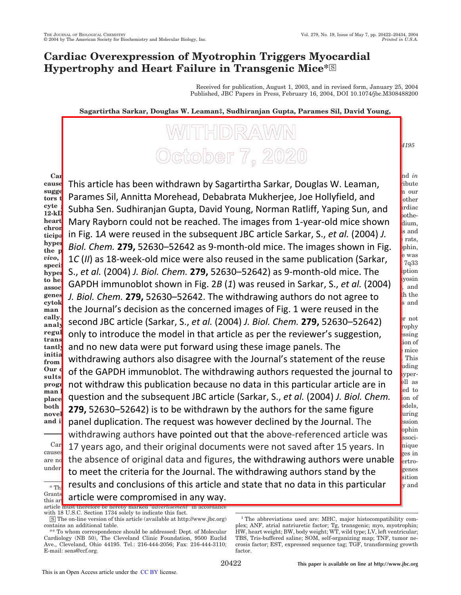# **Cardiac Overexpression of Myotrophin Triggers Myocardial Hypertrophy and Heart Failure in Transgenic Mice\***

Received for publication, August 1, 2003, and in revised form, January 25, 2004 Published, JBC Papers in Press, February 16, 2004, DOI 10.1074/jbc.M308488200

protein synthesis and cardiomyocyte growth. *In vivo* and *in*

to the cardiac hypertrophy process (1, 2). Studies from our process (1, 2). Studies from our process (1, 2). Studies from our process (1, 2). Studies (1, 2). Studies from our process (1, 2). Studies (1, 2). Studies (1, 2).

of proto-oncogenes (*e.g.* c-*myc*, c-*fos*, and c-*jun*), (7) -myosin

on the thing the heat of heat  $\sigma$  is and spontaneously hypertrophy in spand

**Sagartirtha Sarkar, Douglas W. Leaman‡, Sudhiranjan Gupta, Parames Sil, David Young,**

# **Annitta Morehead§, Debabrata Mukherjee§, Norman Ratliff¶, Yaping Sun‡, Mary Rayborn, Joe Hollyfield, and Subha Sen\*\*** *From the Department of Molecular Cardiology, Lerner Research Institute, and the Departments of* §*Cardiovascular Medicine and* ¶*Anatomic Pathology and the Cole Eye Institute, The Cleveland Clinic Foundation, Cleveland, Ohio 44195 and the* ‡*Department of Biological Sciences, University of Toledo, Toledo, Ohio 43606*

Parames Sil, Annitta Morehead, Debabrata Mukherjee, Joe Hollyfield, and a same that

Mary Rayborn could not be reached. The images from 1-year-old mice shown  $\frac{1}{\text{dium}}$ in Fig. 1A were reused in the subsequent JBC article Sarkar, S., *et al.* (2004) *J.* sand

1*C* (*II*) as 18-week-old mice were also reused in the same publication (Sarkar,  $\int_{7q33}^{\text{e was}}$ 

GAPDH immunoblot shown in Fig. 2*B* (1) was reused in Sarkar, S., *et al.* (2004)  $\int_{A}^{\text{yosin}}$ 

**Car** <sup>cause</sup>l This article has been withdrawn by Sagartirtha Sarkar, Douglas W. Leaman, antibute **suggested that, is not stress, my occurrent factor of the stress, my occurrent factor of the stress, my occurrent** <sub>tors t</sub> Parames Sii, Annitta Morenead, Debar cyte **c**ubba Con Cudbiranian Gunta David <sup>cyte</sup>, Subha Sen. Sudhiranjan Gupta, David Young, Norman Ratliff, Yaping Sun, and stratiac **heart** Mary Rayborn could not be reached. The images from 1-vear-old mice shown **chrom**  $\begin{bmatrix} 1 & 1 \end{bmatrix}$  stimulates my occurrent and particulates my occurrent and particulates my occurrent and particulates of  $\begin{bmatrix} 1 & 1 \end{bmatrix}$ ticipation in Fig. 1A were reused in the subsequent JBC article Sarkar, S., et al. (2004) J.  $hypel$  *piol Cham* **270 52620 52642** as 0 minutes **hyper** Biol. Chem. 279, 52630–52642 as 9-month-old mice. The images shown in Fig. shown <sup>the</sup> **f** 10 (II) as 18-week-old mice were also reused in the same publication (Sarkar show the mas **specific myotrophin in transgenic mice in which cardiac hyper** S., *et al.* (2004) *J. Biol. Chem.* 279, 52630–52642) as 9-month-old mice. The supplied in  $\frac{\hbar^2}{2}$   $\sigma$   $\hbar$   $\sigma$   $\sigma$   $\sigma$   $\sigma$   $\mu$  is months to the point  $\sigma$  of  $\sigma$   $\sigma$   $\sigma$ assoc**i** UAP DIT infinition of shown in Fig. 2D genes *J. Biol. Chem.* 279, 52630–52642. The withdrawing authors do not agree to shift the cytok<sup>o</sup>

man **c** the Journal's decision as the concerne cally. **The model provided a unique opportunity to**  $\alpha$  and  $\beta$ analy Securiu JDC di licie (Sarkar, S., e*l ul.* (ZC regul**e** only to introduce the model in that art regul only to introduce the model in that article as per the reviewer's suggestion, some assign of **trans** and no new data were put forward using these image panels. The **regular 1** and no new data were put forward using these image panels. The **initia**tion of the different significantly different constants of  $\mathbf{r}$ from withdrawing authors also disagree with the Journal's statement of the reuse and this **Our d** of the GAPDH immunoblot The withd sults of the **c**  $\theta$  **in** *b* in immandered the with  $\theta$ **progr** not withdraw this publication because no data in this particular article are in settile as man **heart failure.** The changes that the changes that the changes that take the changes that take the changes that take the changes that the changes that the changes that the changes that the changes that the changes that man question and the subsequent JBC article (Sarkar, S., *et al.* (2004) *J. Biol. Chem.* since the state  $both$   $770$   $52620-52642)$  is to be withdrawn **novel EPS** stock strategies to be written than and i**nd ancel duplication. The request was however declined by the Journal. The some assumed and a set of the**  $\frac{\text{Car}}{\text{Car}}$  17 years ago, and their original documents were not saved after 15 years. In  $\frac{\text{haque}}{\text{A}t}$  $\frac{1}{1}$  although the United States.  $\frac{1}{1}$ are not the absence of original data and figure  $\frac{\text{under}}{\text{under}}$  to meet the criteria for the lournal. The withdrawing authors stand by the sense the Journal's decision as the concerned images of Fig. 1 were reused in the  $T$  piol Cham **270** 52620 52642) when second JBC article (Sarkar, S., *et al.* (2004) *J. Biol. Chem.* 279, 52630–52642) Premby and no new data were put forward using these image panels. The  $\frac{1000000}{2 \text{ mice}}$ process was associated with mechanistic changes, including with mechanistic changes, including of the GAPDH immunoblot. The withdrawing authors requested the journal to  $\int_{\text{yper}}^{\text{turn}}$ not withdraw this publication because no data in this particular article are in  $\int_{ed\ to}$  $\mathbf{S}$  the quitborg for the same figure **279,** 52630–52642) is to be withdrawn by the authors for the same figure  $\frac{\text{polds}}{\text{uring}}$ to heart failure. Our Theorem is a result of my owner when  $\delta$ withdrawing authors have pointed out that the above-referenced article was  $\int_{\text{ssoci}}^{\text{ppnn}}$ opportunity to study molecular changes in the absence of original data and figures, the withdrawing authors were unable  $\int_{\text{ertro-}}^{\infty}$ to meet the criteria for the Journal. The withdrawing authors stand by the  $\frac{genes}{15}$  $\overline{f_{\rm{max}}}$  results and conclusions of this article and state that no data in this particular  $\overline{f_{\rm{sym}}}$  $G$ <sup>rants</sup>  $R$ <sup>+</sup> and  $R$ <sup>1</sup> and  $R$ <sup>27</sup>838 (to  $\Omega$ <sup>2</sup> and  $\Omega$  $\frac{Grants}{\text{this ar}}$  article were compromised in any way.

article must therefore be hereby marked "*advertisement* with 18 U.S.C. Section 1734 solely to indicate this fact.

This is an Open Access article under the CC BY license.

<sup>□</sup>S The on-line version of this article (available at http://www.jbc.org) contains an additional table.

<sup>\*\*</sup> To whom correspondence should be addressed: Dept. of Molecular Cardiology (NB 50), The Cleveland Clinic Foundation, 9500 Euclid Ave., Cleveland, Ohio 44195. Tel.: 216-444-2056; Fax: 216-444-3110; E-mail: sens@ccf.org.

<sup>&</sup>lt;sup>1</sup> The abbreviations used are: MHC, major histocompatibility complex; ANF, atrial natriuretic factor; Tg, transgenic; myo, myotrophin; HW, heart weight; BW, body weight; WT, wild type; LV, left ventricular; TBS, Tris-buffered saline; SOM, self-organizing map; TNF, tumor necrosis factor; EST, expressed sequence tag; TGF, transforming growth factor.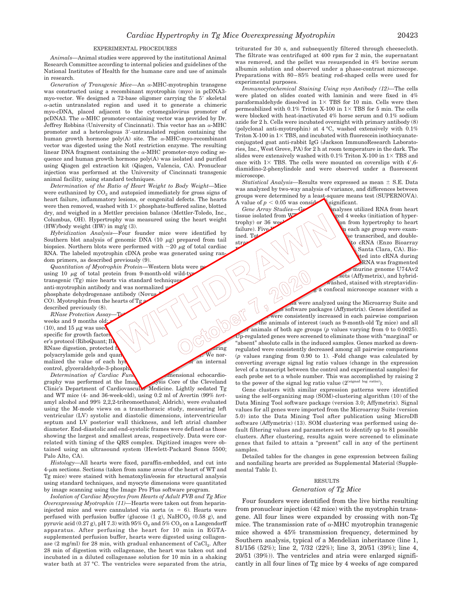#### EXPERIMENTAL PROCEDURES

*Animals—*Animal studies were approved by the institutional Animal Research Committee according to internal policies and guidelines of the National Institutes of Health for the humane care and use of animals in research.

Generation of Transgenic Mice—An α-MHC-myotrophin transgene was constructed using a recombinant myotrophin (myo) in pcDNA3 myo-vector. We designed a 72-base oligomer carrying the 5' skeletal  $\alpha$ -actin untranslated region and used it to generate a chimeric myo-cDNA, placed adjacent to the cytomegalovirus promoter of pcDNA3. The  $\alpha$ -MHC promoter-containing vector was provided by Dr. Jeffrey Robbins (University of Cincinnati). This vector has an  $\alpha$ -MHC promoter and a heterologous 3-untranslated region containing the human growth hormone  $poly(A)$  site. The  $\alpha$ -MHC-myo-recombinant vector was digested using the NotI restriction enzyme. The resulting linear DNA fragment containing the  $\alpha$ -MHC promoter-myo coding sequence and human growth hormone poly(A) was isolated and purified using Qiagen gel extraction kit (Qiagen, Valencia, CA). Pronuclear injection was performed at the University of Cincinnati transgenic animal facility, using standard techniques.

*Determination of the Ratio of Heart Weight to Body Weight—*Mice were euthanized by  $CO<sub>2</sub>$  and autopsied immediately for gross signs of heart failure, inflammatory lesions, or congenital defects. The hearts were then removed, washed with  $1\times$  phosphate-buffered saline, blotted dry, and weighed in a Mettler precision balance (Mettler-Toledo, Inc., Columbus, OH). Hypertrophy was measured using the heart weight (HW)/body weight (BW) in mg/g (3).

*Hybridization Analysis—*Four founder mice were identified by Southern blot analysis of genomic DNA  $(10 \ \mu g)$  prepared from tail biopsies. Northern blots were performed with  $\sim$ 20  $\mu$ g of total cardiac RNA. The labeled myotrophin cDNA probe was generated using random primers, as described previously (9).

*Quantitation of Myotrophin Protein*—Western blots were p using 10  $\mu$ g of total protein from 9-month-old wild-ty transgenic  $(Tg)$  mice hearts via standard technique anti-myotrophin antibody and was normalized using phosphate dehydrogenase antibody (Novus CO). Myotrophin from the hearts of Tg $_2$ described previously (8).

*RNase Protection Assay* weeks and 9 months old; (10), and 15  $\mu$ g was used specific for growth factors er's protocol (RiboQuant; Bl RNase digestion, protected  $\mathbf{f}$  and  $\mathbf{f}$  and  $\mathbf{f}$  and  $\mathbf{f}$  and  $\mathbf{f}$  and  $\mathbf{f}$  and  $\mathbf{f}$  and  $\mathbf{f}$  and  $\mathbf{f}$  and  $\mathbf{f}$  and  $\mathbf{f}$  and  $\mathbf{f}$  and  $\mathbf{f}$  and  $\mathbf{f}$  and  $\mathbf{f}$  and polyacrylamide gels and quantified using a Phosphoric using a Phosphoric using a Phosphoric using a Phosphoric using a Phosphoric using a Phosphoric using a Phosphoric using a Phosphoric using a Phosphoric using a Phosphor malized the value of each hy control, glyceraldehyde-3-phosph

*Determination of Cardiac Function* — **The Contract of Cardiac Function** — Two-dimensional echocardio-<br>
Two-dimensional echocardiography was performed at the Imag Clinic's Department of Cardiovascular Medicine. Lightly sedated Tg and WT mice (4- and 36-week-old), using 0.2 ml of Avertin (99% *tert*amyl alcohol and 99% 2,2,2-tribromoethanol; Aldrich), were evaluated using the M-mode views on a transthoracic study, measuring left ventricular (LV) systolic and diastolic dimensions, interventricular septum and LV posterior wall thickness, and left atrial chamber diameter. End-diastolic and end-systolic frames were defined as those showing the largest and smallest areas, respectively. Data were correlated with timing of the QRS complex. Digitized images were obtained using an ultrasound system (Hewlett-Packard Sonos 5500; Palo Alto, CA).

*Histology—*All hearts were fixed, paraffin-embedded, and cut into  $4-\mu m$  sections. Sections (taken from same areas of the heart of WT and Tg mice) were stained with hematoxylin/eosin for structural analysis using standard techniques, and myocyte dimensions were quantitated by image scanning using the Image Pro Plus software program.

*Isolation of Cardiac Myocytes from Hearts of Adult FVB and Tg Mice Overexpressing Myotrophin (11)—*Hearts were taken out from heparininjected mice and were cannulated via aorta  $(n = 6)$ . Hearts were perfused with perfusion buffer (glucose  $(1 \text{ g})$ ,  $\text{NaHCO}_3$   $(0.58 \text{ g})$ , and pyruvic acid (0.27 g), pH 7.3) with  $95\%$   $\mathrm{O}_2$  and  $5\%$   $\mathrm{CO}_2$  on a Langendorff apparatus. After perfusing the heart for 10 min in EGTAsupplemented perfusion buffer, hearts were digested using collagenase (2 mg/ml) for 28 min, with gradual enhancement of  $\mathrm{CaCl}_{2}$ . After 28 min of digestion with collagenase, the heart was taken out and incubated in a diluted collagenase solution for 10 min in a shaking water bath at 37 °C. The ventricles were separated from the atria,

triturated for 30 s, and subsequently filtered through cheesecloth. The filtrate was centrifuged at 400 rpm for 2 min, the supernatant was removed, and the pellet was resuspended in 4% bovine serum albumin solution and observed under a phase-contrast microscope. Preparations with 80–85% beating rod-shaped cells were used for experimental purposes.

*Immunocytochemical Staining Using myo Antibody (12)—*The cells were plated on slides coated with laminin and were fixed in 4% paraformaldehyde dissolved in  $1 \times$  TBS for 10 min. Cells were then permeabilized with  $0.1\%$  Triton X-100 in  $1\times$  TBS for 5 min. The cells were blocked with heat-inactivated 4% horse serum and 0.1% sodium azide for 2 h. Cells were incubated overnight with primary antibody (8) (polyclonal anti-myotrophin) at 4 °C, washed extensively with 0.1% Triton X-100 in  $1 \times$  TBS, and incubated with fluorescein isothiocyanateconjugated goat anti-rabbit IgG (Jackson ImmunoResearch Laboratories, Inc., West Grove, PA) for 2 h at room temperature in the dark. The slides were extensively washed with  $0.1\%$  Triton X-100 in  $1\times$  TBS and once with  $1 \times$  TBS. The cells were mounted on coverslips with  $4^{\prime}$ , 6diamidino-2-phenylindole and were observed under a fluorescent microscope.

*Statistical Analysis*—Results were expressed as mean  $\pm$  S.E. Data was analyzed by two-way analysis of variance, and differences between groups were determined by a least-square means test (SUPERNOVA). A value of  $p < 0.05$  was considered significant.

*Gene Array Studies*—Gene analyses utilized RNA from heart tissue isolated from  $W$  and  $\Diamond$  and  $\Diamond$  are  $\Diamond$  are  $\Diamond$  aged 4 weeks (initiation of hypertrophy) or 36 weeks  $\sim$  (complement from hypertrophy to heart failure). Five  $\bigcap_{\alpha\in\mathbb{N}}\bigcup_{\alpha\in\mathbb{N}}\bigcap_{\alpha\in\mathbb{N}}\mathbb{N}$  each age group were examined. Total cellular  $\left(\begin{array}{c} \sim \end{array} \right)$  was transcribed, and doublestranded  $\left(\left(\begin{array}{c|c} x & x \\ y & y \end{array}\right)$  where  $\left(\begin{array}{c|c} x & x \\ y & y \end{array}\right)$  was the cRNA (Enzo Bioarray Santa Clara, CA). Bioted into cRNA during RNA was fragmented murine genome U74Av2 sets (Affymetrix), and hybridashed, stained with streptavidina confocal microscope scanner with a

5 100000 F  $\alpha$  were analyzed using the Microarray Suite and s software packages (Affymetrix). Genes identified as were consistently increased in each pairwise comparison the animals of interest (such as 9-month-old Tg mice) and all animals of both age groups  $(p$  values varying from 0 to 0.0025). Up-regulated genes were screened to eliminate those with "marginal" or "absent" absolute calls in the induced samples. Genes marked as downregulated were consistently decreased among all pairwise comparisons (*p* values ranging from 0.90 to 1). -Fold change was calculated by converting average signal log ratio values (change in the expression level of a transcript between the control and experimental samples) for each probe set to a whole number. This was accomplished by raising 2 to the power of the signal log ratio value  $(2^{(\text{signal log ratio})}).$ 

Gene clusters with similar expression patterns were identified using the self-organizing map (SOM)-clustering algorithm (10) of the Data Mining Tool software package (version 3.0; Affymetrix). Signal values for all genes were imported from the Microarray Suite (version 5.0) into the Data Mining Tool after publication using MicroDB software (Affymetrix) (13). SOM clustering was performed using default filtering values and parameters set to identify up to 81 possible clusters. After clustering, results again were screened to eliminate genes that failed to attain a "present" call in any of the pertinent samples.

Detailed tables for the changes in gene expression between failing and nonfailing hearts are provided as Supplemental Material (Supplemental Table I).

#### RESULTS

#### *Generation of Tg Mice*

Four founders were identified from the live births resulting from pronuclear injection (42 mice) with the myotrophin transgene. All four lines were expanded by crossing with non-Tg mice. The transmission rate of  $\alpha$ -MHC myotrophin transgenic mice showed a 45% transmission frequency, determined by Southern analysis, typical of a Mendelian inheritance (line 1, 81/156 (52%); line 2, 7/32 (22%); line 3, 20/51 (39%); line 4, 20/51 (39%)). The ventricles and atria were enlarged significantly in all four lines of Tg mice by 4 weeks of age compared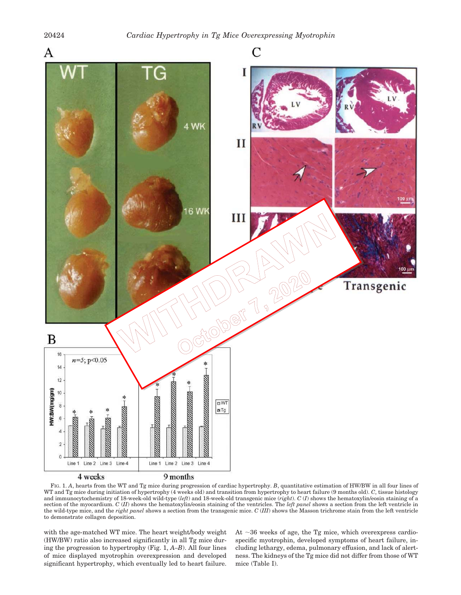

FIG. 1. A, hearts from the WT and Tg mice during progression of cardiac hypertrophy. *B*, quantitative estimation of HW/BW in all four lines of WT and Tg mice during initiation of hypertrophy (4 weeks old) and transition from hypertrophy to heart failure (9 months old). *C*, tissue histology and immunocytochemistry of 18-week-old wild-type (*left*) and 18-week-old transgenic mice (*right*). *C* (*I*) shows the hematoxylin/eosin staining of a section of the myocardium. *C* (*II*) shows the hematoxylin/eosin staining of the ventricles. The *left panel* shows a section from the left ventricle in the wild-type mice, and the *right panel* shows a section from the transgenic mice. *C* (*III*) shows the Masson trichrome stain from the left ventricle to demonstrate collagen deposition.

with the age-matched WT mice. The heart weight/body weight (HW/BW) ratio also increased significantly in all Tg mice during the progression to hypertrophy (Fig. 1, *A–B*). All four lines of mice displayed myotrophin overexpression and developed significant hypertrophy, which eventually led to heart failure.

At  $\sim$ 36 weeks of age, the Tg mice, which overexpress cardiospecific myotrophin, developed symptoms of heart failure, including lethargy, edema, pulmonary effusion, and lack of alertness. The kidneys of the Tg mice did not differ from those of WT mice (Table I).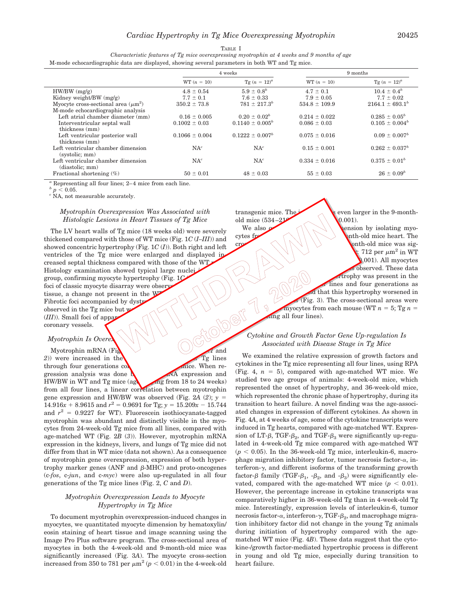#### TABLE I

*Characteristic features of Tg mice overexpressing myotrophin at 4 weeks and 9 months of age* M-mode echocardiographic data are displayed, showing several parameters in both WT and Tg mice.

|                                          | 4 weeks            |                      |                   | 9 months             |  |
|------------------------------------------|--------------------|----------------------|-------------------|----------------------|--|
|                                          | $WT (n = 10)$      | $Tg(n = 12)^a$       | $WT (n = 10)$     | $Tg(n = 12)^a$       |  |
| $HW/BW$ (mg/g)                           | $4.8 \pm 0.54$     | $5.9 \pm 0.8^{b}$    | $4.7 \pm 0.1$     | $10.4 \pm 0.4^b$     |  |
| Kidney weight/BW $(mg/g)$                | $7.7 \pm 0.1$      | $7.6 \pm 0.33$       | $7.9 \pm 0.05$    | $7.7 \pm 0.02$       |  |
| Myocyte cross-sectional area $(\mu m^2)$ | $350.2 \pm 73.8$   | $781 \pm 217.3^b$    | $534.8 \pm 109.9$ | $2164.1 \pm 693.1^b$ |  |
| M-mode echocardiographic analysis        |                    |                      |                   |                      |  |
| Left atrial chamber diameter (mm)        | $0.16 \pm 0.005$   | $0.20 \pm 0.02^b$    | $0.214 \pm 0.022$ | $0.285 \pm 0.05^b$   |  |
| Interventricular septal wall             | $0.1002 \pm 0.03$  | $0.1140 \pm 0.005^b$ | $0.086 \pm 0.03$  | $0.105 \pm 0.004^b$  |  |
| thickness (mm)                           |                    |                      |                   |                      |  |
| Left ventricular posterior wall          | $0.1066 \pm 0.004$ | $0.1222 \pm 0.007^b$ | $0.075 \pm 0.016$ | $0.09 \pm 0.007^b$   |  |
| thickness (mm)                           |                    |                      |                   |                      |  |
| Left ventricular chamber dimension       | $NA^c$             | $NA^c$               | $0.15 \pm 0.001$  | $0.262 \pm 0.037^b$  |  |
| (systolic; mm)                           |                    |                      |                   |                      |  |
| Left ventricular chamber dimension       | $NA^c$             | $NA^c$               | $0.334 \pm 0.016$ | $0.375 \pm 0.01^b$   |  |
| (diastolic; mm)                          |                    |                      |                   |                      |  |
| Fractional shortening $(\%)$             | $50 \pm 0.01$      | $48 \pm 0.03$        | $55 \pm 0.03$     | $26 \pm 0.09^b$      |  |

Representing all four lines; 2–4 mice from each line.

*b*  $p < 0.05$ .

*<sup>c</sup>* NA, not measurable accurately.

### *Myotrophin Overexpression Was Associated with Histologic Lesions in Heart Tissues of Tg Mice*

The LV heart walls of Tg mice (18 weeks old) were severely thickened compared with those of WT mice (Fig. 1*C* (*I–III*)) and showed concentric hypertrophy (Fig. 1*C* (*I*)). Both right and left ventricles of the Tg mice were enlarged and displayed increased septal thickness compared with those of the WT Histology examination showed typical large nuclei group, confirming myocyte hypertrophy (Fig. 1*C* (*II*)). Multiple foci of classic myocyte disarray were obsery tissue, a change not present in the Webserved in the Tg mice but webserved in the Tg mice but webserved in the Tg mice but webserved in the Tg mice but webserved in the Tg mice but webserved  $(III)$ . Small foci of appartunit Fibrotic foci accompanied by dystr observed in the Tg mice but **w**  $(III)$ ). Small foci of appar coronary vessels.

### *Myotrophin Is Overe*

Myotrophin mRNA (Fig. 2*A* and  $2)$ ) were increased in the myocardium of  $\frac{1}{\sqrt{2}}$  four Tg lines through four generations  $\cos$ gression analysis was done **b** and  $\overline{A}$  expression and HW/BW in WT and Tg mice  $\frac{18}{24}$  weeks) from all four lines, a linear correlation between myotrophin gene expression and HW/BW was observed (Fig. 2A  $(2)$ ;  $y =$  $14.916x + 8.9615$  and  $r^2 = 0.9691$  for Tg;  $y = 15.209x - 15.744$ and  $r^2 = 0.9227$  for WT). Fluorescein isothiocyanate-tagged myotrophin was abundant and distinctly visible in the myocytes from 24-week-old Tg mice from all lines, compared with age-matched WT (Fig. 2*B* (*3*)). However, myotrophin mRNA expression in the kidneys, livers, and lungs of Tg mice did not differ from that in WT mice (data not shown). As a consequence of myotrophin gene overexpression, expression of both hypertrophy marker genes (ANF and  $\beta$ -MHC) and proto-oncogenes (c*-fos*, c-*jun*, and c-*myc*) were also up-regulated in all four generations of the Tg mice lines (Fig. 2, *C* and *D*).

### *Myotrophin Overexpression Leads to Myocyte Hypertrophy in Tg Mice*

To document myotrophin overexpression-induced changes in myocytes, we quantitated myocyte dimension by hematoxylin/ eosin staining of heart tissue and image scanning using the Image Pro Plus software program. The cross-sectional area of myocytes in both the 4-week-old and 9-month-old mice was significantly increased (Fig. 3*A*). The myocyte cross-section increased from 350 to 781 per  $\mu$ m<sup>2</sup> ( $p < 0.01$ ) in the 4-week-old

transgenic mice. The  $\sim$  seven larger in the 9-monthold mice  $(534-2)$ 

 $(0.001)$ . We also  $\curvearrowleft \wedge \searrow \searrow \searrow \searrow \searrow \searrow$  wension by isolating myo-

cytes from WT and Tg mice from 9-month-old mice heart. The cross-sectional area of myocytes in 9-month-old mice was sig- $\sim$   $\sqrt{1/\sqrt{2}}$  *z* 12 per  $\mu$ m<sup>2</sup> in WT  $\sim$  11280 per material per material  $\sim$  $(0.001)$ . All myocytes observed. These data trophy was present in the lines and four generations as d that this hypertrophy worsened in  $F$  (Fig. 3). The cross-sectional areas were myocytes from each mouse (WT  $n = 5$ ; Tg  $n =$ ing all four lines).

### *Cytokine and Growth Factor Gene Up-regulation Is Associated with Disease Stage in Tg Mice*

We examined the relative expression of growth factors and cytokines in the Tg mice representing all four lines, using RPA (Fig. 4,  $n = 5$ ), compared with age-matched WT mice. We studied two age groups of animals: 4-week-old mice, which represented the onset of hypertrophy, and 36-week-old mice, which represented the chronic phase of hypertrophy, during its transition to heart failure. A novel finding was the age-associated changes in expression of different cytokines. As shown in Fig. 4*A*, at 4 weeks of age, some of the cytokine transcripts were induced in Tg hearts, compared with age-matched WT. Expres- $\sin$  of LT- $\beta$ , TGF- $\beta_2$ , and TGF- $\beta_3$  were significantly up-regulated in 4-week-old Tg mice compared with age-matched WT  $(p < 0.05)$ . In the 36-week-old Tg mice, interleukin-6, macrophage migration inhibitory factor, tumor necrosis factor- $\alpha$ , interferon- $\gamma$ , and different isoforms of the transforming growth factor- $\beta$  family (TGF- $\beta_1$ , - $\beta_2$ , and - $\beta_3$ ) were significantly elevated, compared with the age-matched WT mice  $(p < 0.01)$ . However, the percentage increase in cytokine transcripts was comparatively higher in 36-week-old Tg than in 4-week-old Tg mice. Interestingly, expression levels of interleukin-6, tumor necrosis factor- $\alpha$ , interferon- $\gamma$ , TGF- $\beta_2$ , and macrophage migration inhibitory factor did not change in the young Tg animals during initiation of hypertrophy compared with the agematched WT mice (Fig. 4*B*). These data suggest that the cytokine-/growth factor-mediated hypertrophic process is different in young and old Tg mice, especially during transition to heart failure.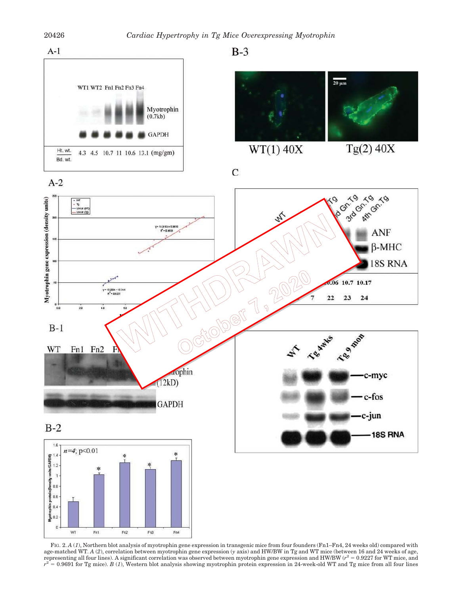



 $\overline{C}$ 



 $WT(1)$  40X



18S RNA









FIG. 2.  $A$  (1), Northern blot analysis of myotrophin gene expression in transgenic mice from founders (Fn1–Fn4, 24 weeks old) compared with age-matched WT. *A* (*2*), correlation between myotrophin gene expression (*y* axis) and HW/BW in Tg and WT mice (between 16 and 24 weeks of age, representing all four lines). A significant correlation was observed between myotrophin gene expression and HW/BW ( $r^2 = 0.9227$  for WT mice, and  $r^2 = 0.9691$  for Tg mice). *B* (*1*), Western blot analysis showing myotrophin protein expression in 24-week-old WT and Tg mice from all four lines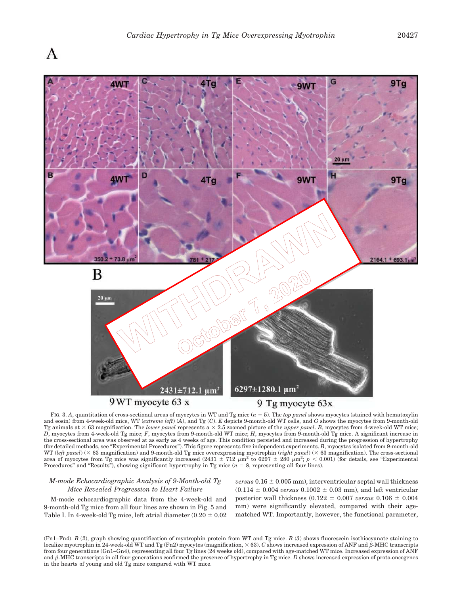

FIG. 3. *A*, quantitation of cross-sectional areas of myocytes in WT and Tg mice (*n* 5). The *top panel* shows myocytes (stained with hematoxylin and eosin) from 4-week-old mice, WT (*extreme left*) (*A*), and Tg (*C*). *E* depicts 9-month-old WT cells, and *G* shows the myocytes from 9-month-old Tg animals at  $\times$  63 magnification. The *lower panel* represents a  $\times$  2.5 zoomed picture of the *upper panel*. *B*, myocytes from 4-week-old WT mice; *D*, myocytes from 4-week-old Tg mice; *F*, myocytes from 9-month-old WT mice; *H*, myocytes from 9-month-old Tg mice. A significant increase in the cross-sectional area was observed at as early as 4 weeks of age. This condition persisted and increased during the progression of hypertrophy (for detailed methods, see "Experimental Procedures"). This figure represents five independent experiments. *B*, myocytes isolated from 9-month-old WT (left panel) ( $\times$  63 magnification) and 9-month-old Tg mice overexpressing myotrophin (*right panel*) ( $\times$  63 magnification). The cross-sectional area of myocytes from Tg mice was significantly increased  $(2431 \pm 712 \mu m^2)$  to  $6297 \pm 280 \mu m^2$ ;  $p < 0.001$ ) (for details, see "Experimental Procedures" and "Results"), showing significant hypertrophy in Tg mice  $(n = 8)$ , representing all four lines).

### *M-mode Echocardiographic Analysis of 9-Month-old Tg Mice Revealed Progression to Heart Failure*

M-mode echocardiographic data from the 4-week-old and 9-month-old Tg mice from all four lines are shown in Fig. 5 and Table I. In 4-week-old Tg mice, left atrial diameter  $(0.20 \pm 0.02)$  *versus*  $0.16 \pm 0.005$  mm), interventricular septal wall thickness  $(0.114 \pm 0.004 \text{ versus } 0.1002 \pm 0.03 \text{ mm})$ , and left ventricular posterior wall thickness (0.122  $\pm$  0.007 *versus* 0.106  $\pm$  0.004 mm) were significantly elevated, compared with their agematched WT. Importantly, however, the functional parameter,

<sup>(</sup>Fn1–Fn4). *B* (*2*), graph showing quantification of myotrophin protein from WT and Tg mice. *B* (*3*) shows fluorescein isothiocyanate staining to localize myotrophin in 24-week-old WT and Tg (Fn2) myocytes (magnification,  $\times$  63). *C* shows increased expression of ANF and  $\beta$ -MHC transcripts from four generations (Gn1–Gn4), representing all four Tg lines (24 weeks old), compared with age-matched WT mice. Increased expression of ANF and  $\beta$ -MHC transcripts in all four generations confirmed the presence of hypertrophy in Tg mice.  $D$  shows increased expression of proto-oncogenes in the hearts of young and old Tg mice compared with WT mice.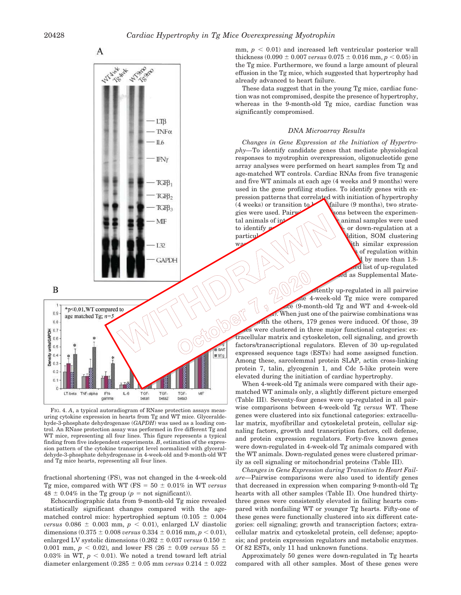B







FIG. 4. *A*, a typical autoradiogram of RNase protection assays measuring cytokine expression in hearts from Tg and WT mice. Glyceraldehyde-3-phosphate dehydrogenase (*GAPDH*) was used as a loading control. An RNase protection assay was performed in five different Tg and WT mice, representing all four lines. This figure represents a typical finding from five independent experiments. *B*, estimation of the expression pattern of the cytokine transcript level normalized with glyceraldehyde-3-phosphate dehydrogenase in 4-week-old and 9-month-old WT and Tg mice hearts, representing all four lines.

fractional shortening (FS), was not changed in the 4-week-old Tg mice, compared with WT ( $FS = 50 \pm 0.01\%$  in WT *versus*  $48 \pm 0.04\%$  in the Tg group ( $p =$  not significant)).

Echocardiographic data from 9-month-old Tg mice revealed statistically significant changes compared with the agematched control mice: hypertrophied septum  $(0.105 \pm 0.004)$ *versus*  $0.086 \pm 0.003$  mm,  $p < 0.01$ , enlarged LV diastolic dimensions  $(0.375 \pm 0.008 \text{ versus } 0.334 \pm 0.016 \text{ mm}, p < 0.01)$ , enlarged LV systolic dimensions  $(0.262 \pm 0.037 \text{ versus } 0.150 \pm 0.037 \text{ versus } 0.050 \pm 0.037 \text{ versus } 0.050 \pm 0.037 \text{ versus } 0.050 \pm 0.037 \text{ versus } 0.050 \pm 0.037 \text{ versus } 0.050 \pm 0.037 \text{ versus } 0.050 \pm 0.037 \text{ versus } 0.050 \pm 0.037 \text{ versus } 0.050 \pm 0.037 \text{$ 0.001 mm,  $p < 0.02$ ), and lower FS (26  $\pm$  0.09 *versus* 55  $\pm$ 0.03% in WT,  $p < 0.01$ ). We noted a trend toward left atrial diameter enlargement  $(0.285 \pm 0.05$  mm *versus*  $0.214 \pm 0.022$ 

mm,  $p < 0.01$ ) and increased left ventricular posterior wall thickness  $(0.090 \pm 0.007 \text{ versus } 0.075 \pm 0.016 \text{ mm}, p < 0.05)$  in the Tg mice. Furthermore, we found a large amount of pleural effusion in the Tg mice, which suggested that hypertrophy had already advanced to heart failure.

These data suggest that in the young Tg mice, cardiac function was not compromised, despite the presence of hypertrophy, whereas in the 9-month-old Tg mice, cardiac function was significantly compromised.

### *DNA Microarray Results*

*Changes in Gene Expression at the Initiation of Hypertrophy—*To identify candidate genes that mediate physiological responses to myotrophin overexpression, oligonucleotide gene array analyses were performed on heart samples from Tg and age-matched WT controls. Cardiac RNAs from five transgenic and five WT animals at each age (4 weeks and 9 months) were used in the gene profiling studies. To identify genes with expression patterns that correlated with initiation of hypertrophy  $(4 \text{ weeks})$  or transition to  $h$  failure (9 months), two strategies were used. Pairwise comparisons between the experimental animals of integral  $\sim$  \\ \ \ \ \ animal samples were used to identify  $\alpha$  or down-regulation at a particular value of  $\alpha$  or down-regulation at a dition, SOM clustering was used to identify gene clusters with similar expression of regulation within the perturber of the perturber. General set of  $\mathbb{R}^n$ .

ed list of up-regulated  $ad$  as Supplemental Mate-

Eighty up-regulated in all pairwise<br>
Eighthold Tg mice were compared<br>  $\frac{1}{2}$ <br>  $\frac{1}{2}$ <br>  $\frac{1}{2}$ <br>  $\frac{1}{2}$ <br>  $\frac{1}{2}$ <br>  $\frac{1}{2}$ <br>  $\frac{1}{2}$ <br>  $\frac{1}{2}$ <br>  $\frac{1}{2}$ <br>  $\frac{1}{2}$ <br>  $\frac{1}{2}$ <br>  $\frac{1}{2}$ <br>  $\frac{1}{2}$ <br>  $\frac{1}{2}$ combinations when the 4-week-old Tg mice were compared  $ce$  (9-month-old Tg and WT and 4-week-old . When just one of the pairwise combinations was ith the others, 179 genes were induced. Of those, 39 is were clustered in three major functional categories: extracellular matrix and cytoskeleton, cell signaling, and growth factors/transcriptional regulators. Eleven of 30 up-regulated expressed sequence tags (ESTs) had some assigned function. Among these, sarcolemmal protein SLAP, actin cross-linking protein 7, talin, glycogenin 1, and Cdc 5-like protein were elevated during the initiation of cardiac hypertrophy.

 $\sim$  all $\approx$ 

When 4-week-old Tg animals were compared with their agematched WT animals only, a slightly different picture emerged (Table III). Seventy-four genes were up-regulated in all pairwise comparisons between 4-week-old Tg *versus* WT. These genes were clustered into six functional categories: extracellular matrix, myofibrillar and cytoskeletal protein, cellular signaling factors, growth and transcription factors, cell defense, and protein expression regulators. Forty-five known genes were down-regulated in 4-week-old Tg animals compared with the WT animals. Down-regulated genes were clustered primarily as cell signaling or mitochondrial proteins (Table III).

*Changes in Gene Expression during Transition to Heart Failure—*Pairwise comparisons were also used to identify genes that decreased in expression when comparing 9-month-old Tg hearts with all other samples (Table II). One hundred thirtythree genes were consistently elevated in failing hearts compared with nonfailing WT or younger Tg hearts. Fifty-one of these genes were functionally clustered into six different categories: cell signaling; growth and transcription factors; extracellular matrix and cytoskeletal protein, cell defense; apoptosis; and protein expression regulators and metabolic enzymes. Of 82 ESTs, only 11 had unknown functions.

Approximately 50 genes were down-regulated in Tg hearts compared with all other samples. Most of these genes were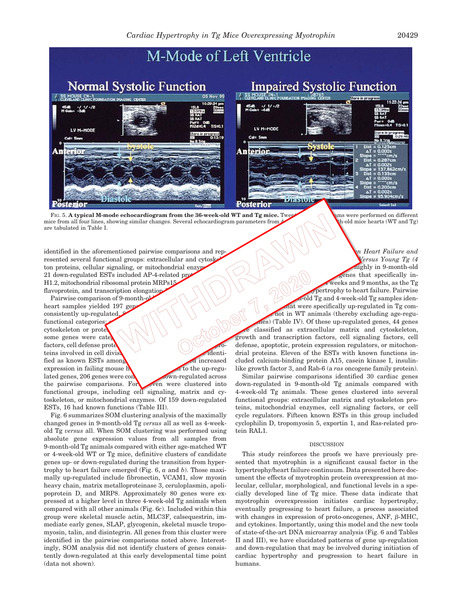

FIG. 5. A typical M-mode echocardiogram from the 36-week-old WT and Tg mice. Twenty and the search on different in the search of the search of the search of the search of the search of the search of the search of the searc mice from all four lines, showing similar changes. Several echocardiogram parameters from are tabulated in Table I.

identified in the aforementioned pairwise comparisons and represented several functional groups: extracellular and cytoskel ton proteins, cellular signaling, or mitochondrial enzype. 21 down-regulated ESTs included AP-4-related pro H1.2, mitochondrial ribosomal protein MRPs15 flavoprotein, and transcription elongation

Pairwise comparison of 9-month-old contract a material categories<br>nesistently up-regulated netional categories:<br>toskeleton or prote<br>me genes were categories<br>ctors, cell defined and contract categories heart samples yielded 197 gene consistently up-regulated. functional categories; cytoskeleton or prote some genes were cate factors, cell defense prote teins involved in cell division. The set of dentified as known ESTs among 113 Estatement of the showe fied increased expression in failing mouse  $h$  and to the up-regulated genes, 206 genes were consistently down-regulated across the pairwise comparisons. For even were clustered into functional groups, including cell signaling, matrix and cytoskeleton, or mitochondrial enzymes. Of 159 down-regulated ESTs, 16 had known functions (Table III).

Fig. 6 summarizes SOM clustering analysis of the maximally changed genes in 9-month-old Tg *versus* all as well as 4-weekold Tg *versus* all. When SOM clustering was performed using absolute gene expression values from all samples from 9-month-old Tg animals compared with either age-matched WT or 4-week-old WT or Tg mice, definitive clusters of candidate genes up- or down-regulated during the transition from hypertrophy to heart failure emerged (Fig. 6, *a* and *b*). Those maximally up-regulated include fibronectin, VCAM1, slow myosin heavy chain, matrix metalloproteinase 3, ceruloplasmin, apolipoprotein D, and MRP8. Approximately 80 genes were expressed at a higher level in three 4-week-old Tg animals when compared with all other animals (Fig. 6*c*). Included within this group were skeletal muscle actin, MLC3F, calsequestrin, immediate early genes, SLAP, glycogenin, skeletal muscle tropomyosin, talin, and disintegrin. All genes from this cluster were identified in the pairwise comparisons noted above. Interestingly, SOM analysis did not identify clusters of genes consistently down-regulated at this early developmental time point (data not shown).

*Comparison of Gene Expression between Heart Failure and Initiation Stage: Old Tg (9 Months Old) Versus Young Tg (4 Mighly* in 9-month-old enes that specifically inweeks and  $9$  months, as the Tg pertrophy to heart failure. Pairwise  $\text{-old}$  Tg and 4-week-old Tg samples idenhat were specifically up-regulated in Tg comnot in WT animals (thereby excluding age-regules) (Table IV). Of these up-regulated genes, 44 genes classified as extracellular matrix and cytoskeleton, growth and transcription factors, cell signaling factors, cell defense, apoptotic, protein expression regulators, or mitochondrial proteins. Eleven of the ESTs with known functions included calcium-binding protein A15, casein kinase I, insulinlike growth factor 3, and Rab-6 (a *ras* oncogene family protein).

Similar pairwise comparisons identified 30 cardiac genes down-regulated in 9-month-old Tg animals compared with 4-week-old Tg animals. These genes clustered into several functional groups: extracellular matrix and cytoskeleton proteins, mitochondrial enzymes, cell signaling factors, or cell cycle regulators. Fifteen known ESTs in this group included cyclophilin D, tropomyosin 5, exportin 1, and Ras-related protein RAL1.

#### DISCUSSION

This study reinforces the proofs we have previously presented that myotrophin is a significant causal factor in the hypertrophy/heart failure continuum. Data presented here document the effects of myotrophin protein overexpression at molecular, cellular, morphological, and functional levels in a specially developed line of Tg mice. These data indicate that myotrophin overexpression initiates cardiac hypertrophy, eventually progressing to heart failure, a process associated with changes in expression of proto-oncogenes,  $ANF$ ,  $\beta-MHC$ , and cytokines. Importantly, using this model and the new tools of state-of-the-art DNA microarray analysis (Fig. 6 and Tables II and III), we have elucidated patterns of gene up-regulation and down-regulation that may be involved during initiation of cardiac hypertrophy and progression to heart failure in humans.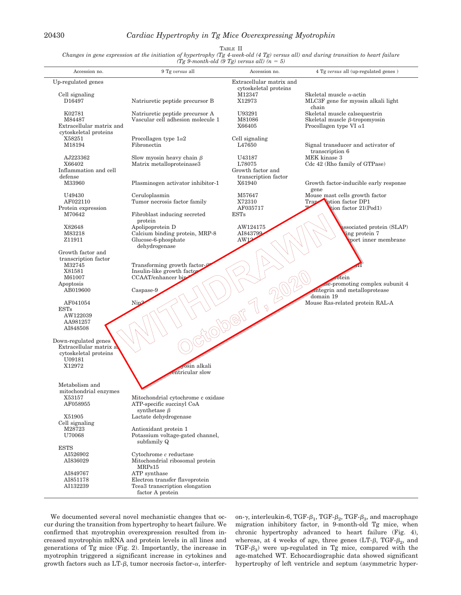TABLE II

*Changes in gene expression at the initiation of hypertrophy (Tg 4-week-old (4 Tg) versus all) and during transition to heart failure (Tg 9-month-old (9 Tg) versus all) (n 5)*

|                                                 | $(1g)$ -month-ord (9 $1g$ ) becaus and (n             |                                                   |                                          |
|-------------------------------------------------|-------------------------------------------------------|---------------------------------------------------|------------------------------------------|
| Accession no.                                   | 9 Tg versus all                                       | Accession no.                                     | 4 Tg versus all (up-regulated genes)     |
| Up-regulated genes                              |                                                       | Extracellular matrix and<br>cytoskeletal proteins |                                          |
| Cell signaling                                  |                                                       | M12347                                            | Skeletal muscle $\alpha$ -actin          |
| D16497                                          | Natriuretic peptide precursor B                       | X12973                                            | MLC3F gene for myosin alkali light       |
| K02781                                          | Natriuretic peptide precursor A                       | U93291                                            | chain<br>Skeletal muscle calsequestrin   |
| M84487                                          | Vascular cell adhesion molecule 1                     | M81086                                            | Skeletal muscle $\beta$ -tropomyosin     |
| Extracellular matrix and                        |                                                       | X66405                                            | Procollagen type VI $\alpha$ 1           |
| cytoskeletal proteins                           |                                                       |                                                   |                                          |
| X58251                                          | Procollagen type $1\alpha2$                           | Cell signaling                                    |                                          |
| M18194                                          | Fibronectin                                           | L47650                                            | Signal transducer and activator of       |
| AJ223362                                        | Slow myosin heavy chain $\beta$                       | U43187                                            | transcription 6<br>MEK kinase 3          |
| X66402                                          | Matrix metalloproteinase3                             | L78075                                            | Cdc 42 (Rho family of GTPase)            |
| Inflammation and cell                           |                                                       | Growth factor and                                 |                                          |
| defense                                         |                                                       | transcription factor                              |                                          |
| M33960                                          | Plasminogen activator inhibitor-1                     | X61940                                            | Growth factor-inducible early response   |
| U49430                                          |                                                       | M57647                                            | gene<br>Mouse mast cells growth factor   |
| AF022110                                        | Ceruloplasmin<br>Tumor necrosis factor family         | X72310                                            | Trap<br><b>otion</b> factor DP1          |
| Protein expression                              |                                                       | AF035717                                          | tion factor 21(Pod1)                     |
| M70642                                          | Fibroblast inducing secreted                          | <b>ESTs</b>                                       |                                          |
|                                                 | protein                                               |                                                   |                                          |
| X82648                                          | Apolipoprotein D                                      | AW124175<br>AI843799                              | ssociated protein (SLAP)                 |
| M83218<br>Z11911                                | Calcium binding protein, MRP-8<br>Glucose-6-phosphate | AW12                                              | ing protein 7<br>port inner membrane     |
|                                                 | dehydrogenase                                         |                                                   |                                          |
| Growth factor and                               |                                                       |                                                   |                                          |
| transcription factor                            |                                                       |                                                   |                                          |
| M32745                                          | Transforming growth factor-                           |                                                   |                                          |
| X81581                                          | Insulin-like growth factor<br>CCAAT/enhancer biz      |                                                   |                                          |
| M61007<br>Apoptosis                             |                                                       |                                                   | rotein<br>se-promoting complex subunit 4 |
| AB019600                                        | $\sf{Caspase-9}$                                      |                                                   | integrin and metalloprotease             |
|                                                 |                                                       |                                                   | domain 19                                |
| AF041054                                        | Nip <sup>2</sup>                                      | ς)                                                | Mouse Ras-related protein RAL-A          |
| <b>ESTs</b><br>AW122039                         |                                                       |                                                   |                                          |
| AA981257                                        |                                                       |                                                   |                                          |
| AI848508                                        |                                                       |                                                   |                                          |
|                                                 |                                                       |                                                   |                                          |
| Down-regulated genes                            |                                                       |                                                   |                                          |
| Extracellular matrix a<br>cytoskeletal proteins |                                                       |                                                   |                                          |
| U09181                                          |                                                       |                                                   |                                          |
| X12972                                          | yosin alkali                                          |                                                   |                                          |
|                                                 | entricular slow                                       |                                                   |                                          |
|                                                 |                                                       |                                                   |                                          |
| Metabolism and<br>mitochondrial enzymes         |                                                       |                                                   |                                          |
| X53157                                          | Mitochondrial cytochrome c oxidase                    |                                                   |                                          |
| AF058955                                        | ATP-specific succinyl CoA                             |                                                   |                                          |
|                                                 | synthetase $\beta$                                    |                                                   |                                          |
| X51905                                          | Lactate dehydrogenase                                 |                                                   |                                          |
| Cell signaling<br>M28723                        | Antioxidant protein 1                                 |                                                   |                                          |
| U70068                                          | Potassium voltage-gated channel,                      |                                                   |                                          |
|                                                 | subfamily Q                                           |                                                   |                                          |
| <b>ESTS</b>                                     |                                                       |                                                   |                                          |
| AI526902                                        | $Cytochrome$ $c$ reductase                            |                                                   |                                          |
| AI836029                                        | Mitochondrial ribosomal protein<br>MRPs15             |                                                   |                                          |
| AI849767                                        | ATP synthase                                          |                                                   |                                          |
| AI851178                                        | Electron transfer flavoprotein                        |                                                   |                                          |
| AI132239                                        | Tcea3 transcription elongation                        |                                                   |                                          |
|                                                 | factor A protein                                      |                                                   |                                          |

We documented several novel mechanistic changes that occur during the transition from hypertrophy to heart failure. We confirmed that myotrophin overexpression resulted from increased myotrophin mRNA and protein levels in all lines and generations of Tg mice (Fig. 2). Importantly, the increase in myotrophin triggered a significant increase in cytokines and growth factors such as LT- $\beta$ , tumor necrosis factor- $\alpha$ , interfer-

on-γ, interleukin-6, TGF- $β_1$ , TGF- $β_2$ , TGF- $β_3$ , and macrophage migration inhibitory factor, in 9-month-old Tg mice, when chronic hypertrophy advanced to heart failure (Fig. 4), whereas, at 4 weeks of age, three genes (LT- $\beta$ , TGF- $\beta_2$ , and TGF- $\beta_3$ ) were up-regulated in Tg mice, compared with the age-matched WT. Echocardiographic data showed significant hypertrophy of left ventricle and septum (asymmetric hyper-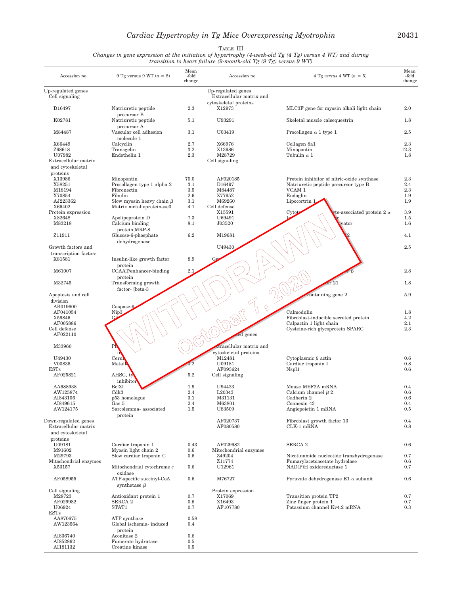# *Cardiac Hypertrophy in Tg Mice Overexpressing Myotrophin* 20431

TABLE III

*Changes in gene expression at the initiation of hypertrophy (4-week-old Tg (4 Tg) versus 4 WT) and during transition to heart failure (9-month-old Tg (9 Tg) versus 9 WT)*

| Accession no.                            | 9 Tg versus 9 WT $(n = 5)$                  | Mean<br>-fold<br>change | Accession no.                                                           | 4 Tg versus 4 WT $(n = 5)$                                                | Mean<br>-fold<br>change |
|------------------------------------------|---------------------------------------------|-------------------------|-------------------------------------------------------------------------|---------------------------------------------------------------------------|-------------------------|
| Up-regulated genes<br>Cell signaling     |                                             |                         | Up-regulated genes<br>Extracellular matrix and<br>cytoskeletal proteins |                                                                           |                         |
| D16497                                   | Natriuretic peptide                         | 2.3                     | X12973                                                                  | MLC3F gene for myosin alkali light chain                                  | 2.0                     |
| K02781                                   | precursor B<br>Natriuretic peptide          | 5.1                     | U93291                                                                  | Skeletal muscle calsequestrin                                             | 1.8                     |
| M84487                                   | precursor A<br>Vascular cell adhesion       | 3.1                     | U03419                                                                  | Procollagen $\alpha$ 1 type 1                                             | 2.5                     |
| X66449                                   | molecule 1<br>Calcyclin                     | 2.7                     | X66976                                                                  | Collagen 8a1                                                              | 2.3                     |
| Z68618                                   | Transgelin                                  | $3.2\,$                 | X13986                                                                  | Minopontin                                                                | 12.3                    |
| U07982                                   | Endothelin 1                                | 2.3                     | M28729                                                                  | Tubulin $\alpha$ 1                                                        | 1.8                     |
| Extracellular matrix<br>and cytoskeletal |                                             |                         | Cell signaling                                                          |                                                                           |                         |
| proteins                                 |                                             |                         |                                                                         |                                                                           |                         |
| X13986                                   | Minopontin                                  | 70.0                    | AF020185                                                                | Protein inhibitor of nitric-oxide synthase                                | 2.3                     |
| X58251                                   | Procollagen type 1 alpha 2                  | 3.1                     | D16497                                                                  | Natriuretic peptide precursor type B                                      | 2.4                     |
| M18194                                   | Fibronectin                                 | 3.5                     | M84487                                                                  | VCAM 1                                                                    | 2.3                     |
| X70854<br>AJ223362                       | Fibulin<br>Slow myosin heavy chain $\beta$  | 2.6<br>3.1              | X77952<br>M69260                                                        | Endoglin<br>Lipocortrin 1                                                 | 1.9<br>1.9              |
| X66402                                   | Matrix metalloproteinase3                   | 4.1                     | Cell defense                                                            |                                                                           |                         |
| Protein expression                       |                                             |                         | X15591                                                                  | Cytot<br>te-associated protein 2 $\alpha$                                 | 3.9                     |
| X82648                                   | Apolipoprotein D                            | 7.3                     | U69491                                                                  |                                                                           | 1.5                     |
| M83218                                   | Calcium binding                             | 8.1                     | J03520                                                                  | vator                                                                     | 1.6                     |
|                                          | protein.MRP-8                               |                         | M19681                                                                  |                                                                           |                         |
| Z11911                                   | Glucose-6-phosphate<br>dehydrogenase        | 6.2                     |                                                                         |                                                                           | 4.1                     |
| Growth factors and                       |                                             |                         | U49430                                                                  |                                                                           | 2.5                     |
| transcription factors                    |                                             |                         |                                                                         |                                                                           |                         |
| X81581                                   | Insulin-like growth factor                  | 8.9                     |                                                                         |                                                                           |                         |
|                                          | protein                                     |                         |                                                                         |                                                                           |                         |
| M61007                                   | CCAAT/enhancer-binding                      | 2.1                     |                                                                         |                                                                           | 2.8                     |
|                                          | protein                                     |                         |                                                                         |                                                                           |                         |
| M32745                                   | Transforming growth                         |                         |                                                                         | $\overline{\rm{or}}\ 21$                                                  | 1.8                     |
| Apoptosis and cell                       | factor-[beta-3                              |                         |                                                                         | containing gene 2                                                         | 5.9                     |
| division                                 |                                             |                         |                                                                         |                                                                           |                         |
| AB019600                                 | Caspase-9                                   |                         | Z                                                                       |                                                                           |                         |
| AF041054                                 | Nip <sub>3</sub>                            |                         |                                                                         | Calmodulin                                                                | 1.8                     |
| X59846                                   | GΔ                                          |                         |                                                                         | Fibroblast-inducible secreted protein                                     | 4.2                     |
| AF005886                                 |                                             |                         |                                                                         | Calpactin 1 light chain                                                   | 2.1                     |
| Cell defense<br>AF022110                 |                                             |                         | genes                                                                   | Cysteine-rich glycoprotein SPARC                                          | 2.3                     |
|                                          |                                             |                         |                                                                         |                                                                           |                         |
| M33960                                   | P <sub>h</sub>                              |                         | tracellular matrix and                                                  |                                                                           |                         |
|                                          | ih                                          |                         | cytoskeletal proteins                                                   |                                                                           |                         |
| U49430                                   | Cerul                                       |                         | M12481                                                                  | Cytoplasmic $\beta$ actin                                                 | 0.6                     |
| V00835                                   | Metall                                      |                         | U09181                                                                  | Cardiac troponin I                                                        | 0.8                     |
| <b>ESTs</b><br>AF025821                  | AHSG, ty                                    | 5.2                     | AF093624<br>Cell signaling                                              | Nspl1                                                                     | 0.6                     |
|                                          | inhibito:                                   |                         |                                                                         |                                                                           |                         |
| AA688938                                 | <b>BclXl</b>                                | 1.9                     | U94423                                                                  | Mouse MEF2A mRNA                                                          | 0.4                     |
| AW125874                                 | Cdk3                                        | 2.4                     | L20343                                                                  | Calcium channel $\beta$ 2                                                 | 0.6                     |
| A1843106                                 | p53 homologue                               | 3.1                     | M31131                                                                  | Cadherin 2                                                                | 0.6                     |
| AI849615                                 | Gas 5                                       | 2.4                     | M63801                                                                  | Connexin 43                                                               | 0.4                     |
| AW124175                                 | Sarcolemma-associated<br>protein            | $1.5\,$                 | U83509                                                                  | Angiopoietin 1 mRNA                                                       | 0.5                     |
| Down-regulated genes                     |                                             |                         | AF020737                                                                | Fibroblast growth factor 13                                               | 0.4                     |
| Extracellular matrix                     |                                             |                         | AF080580                                                                | $CLK-1$ mRNA                                                              | 0.8                     |
| and cytoskeletal                         |                                             |                         |                                                                         |                                                                           |                         |
| proteins                                 |                                             |                         |                                                                         |                                                                           |                         |
| U09181                                   | Cardiac troponin I                          | 0.43                    | AF029982                                                                | SERCA <sub>2</sub>                                                        | 0.6                     |
| M91602                                   | Myosin light chain 2                        | 0.6                     | Mitochondrial enzymes                                                   |                                                                           |                         |
| M29793<br>Mitochondrial enzymes          | Slow cardiac troponin C                     | 0.6                     | Z49204<br>Z11774                                                        | Nicotinamide nucleotide transhydrogenase<br>Fumarylacetoacetate hydrolase | 0.7<br>0.6              |
| X53157                                   | Mitochondrial cytochrome c                  | 0.6                     | U12961                                                                  | NAD(P)H oxidoreductase 1                                                  | 0.7                     |
|                                          | oxidase                                     |                         |                                                                         |                                                                           |                         |
| AF058955                                 | ATP-specific succinyl-CoA                   | 0.6                     | M76727                                                                  | Pyruvate dehydrogenase $E1 \alpha$ subunit                                | 0.6                     |
|                                          | synthetase $\beta$                          |                         |                                                                         |                                                                           |                         |
| Cell signaling                           |                                             |                         | Protein expression                                                      |                                                                           |                         |
| M28723<br>AF029982                       | Antioxidant protein 1<br>SERCA <sub>2</sub> | 0.7<br>0.6              | X17069<br>X16493                                                        | Transition protein TP2<br>Zinc finger protein 1                           | 0.7<br>0.7              |
| U06924                                   | STAT1                                       | 0.7                     | AF107780                                                                | Potassium channel Kv4.2 mRNA                                              | 0.3                     |
| $_{\rm ESTs}$                            |                                             |                         |                                                                         |                                                                           |                         |
| AA870675                                 | ATP synthase                                | 0.58                    |                                                                         |                                                                           |                         |
| AW123564                                 | Global ischemia- induced                    | $0.4\,$                 |                                                                         |                                                                           |                         |
|                                          | protein                                     |                         |                                                                         |                                                                           |                         |
| AI836740<br>AI852862                     | Aconitase 2<br>Fumerate hydratase           | 0.6<br>0.5              |                                                                         |                                                                           |                         |
| AI181132                                 | Creatine kinase                             | $0.5\,$                 |                                                                         |                                                                           |                         |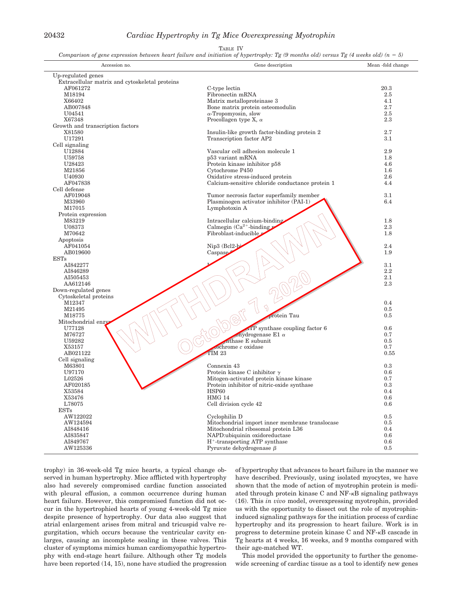### 20432 *Cardiac Hypertrophy in Tg Mice Overexpressing Myotrophin*

#### TABLE IV

*Comparison of gene expression between heart failure and initiation of hypertrophy: Tg (9 months old) versus Tg (4 weeks old)*  $(n = 5)$ 

| Accession no.                                  | Gene description                                 | Mean -fold change |
|------------------------------------------------|--------------------------------------------------|-------------------|
| Up-regulated genes                             |                                                  |                   |
| Extracellular matrix and cytoskeletal proteins |                                                  |                   |
| AF061272                                       | C-type lectin                                    | 20.3              |
| M18194                                         | Fibronectin mRNA                                 | $2.5\,$           |
| X66402                                         | Matrix metalloproteinase 3                       | 4.1               |
| AB007848                                       | Bone matrix protein osteomodulin                 | 2.7               |
| U04541                                         | $\alpha$ -Tropomyosin, slow                      | 2.5               |
| X67348                                         | Procollagen type X, $\alpha$                     | 2.3               |
| Growth and transcription factors               |                                                  |                   |
| X81580                                         | Insulin-like growth factor-binding protein 2     | 2.7               |
| U17291                                         | Transcription factor AP2                         | 3.1               |
| Cell signaling                                 | Vascular cell adhesion molecule 1                | 2.9               |
| U12884<br>U59758                               | p53 variant mRNA                                 | 1.8               |
| U28423                                         | Protein kinase inhibitor p58                     | 4.6               |
| M21856                                         | Cytochrome P450                                  | $1.6\,$           |
| U40930                                         | Oxidative stress-induced protein                 | 2.6               |
| AF047838                                       | Calcium-sensitive chloride conductance protein 1 | 4.4               |
| Cell defense                                   |                                                  |                   |
| AF019048                                       | Tumor necrosis factor superfamily member         | $3.1\,$           |
| M33960                                         | Plasminogen activator inhibitor (PAI-1)          | 6.4               |
| M17015                                         | Lymphotoxin A                                    |                   |
| Protein expression                             |                                                  |                   |
| M83219                                         | Intracellular calcium-binding                    | 1.8               |
| U08373                                         | Calmegin $(Ca^{2+}$ -binding                     | 2.3               |
| M70642                                         | Fibroblast-inducible                             | 1.8               |
| Apoptosis                                      |                                                  |                   |
| AF041054                                       | Nip3 (Bcl2-bi                                    | 2.4               |
| AB019600                                       | Caspase                                          | 1.9               |
| <b>ESTs</b><br>AI842277                        |                                                  | 3.1               |
| AI846289                                       |                                                  | 2.2               |
| AI505453                                       |                                                  | 2.1               |
| AA612146                                       |                                                  | 2.3               |
| Down-regulated genes                           |                                                  |                   |
| Cytoskeletal proteins                          |                                                  |                   |
| M12347                                         |                                                  | 0.4               |
| M21495                                         | Z)                                               | 0.5               |
| M18775                                         | protein Tau                                      | 0.5               |
| Mitochondrial enzy                             |                                                  |                   |
| U77128                                         | $AP$ synthase coupling factor $6$                | 0.6               |
| M76727                                         | chydrogenase E1 $\alpha$                         | 0.7               |
| U59282                                         | nthase E subunit                                 | 0.5               |
| X53157                                         | $cochrome$ $c$ oxidase                           | 0.7               |
| AB021122                                       | TIM <sub>23</sub>                                | 0.55              |
| Cell signaling                                 | Connexin 43                                      | 0.3               |
| M63801<br>U97170                               | Protein kinase C inhibitor $\gamma$              | 0.6               |
| L02526                                         | Mitogen-activated protein kinase kinase          | 0.7               |
| AF020185                                       | Protein inhibitor of nitric-oxide synthase       | 0.3               |
| X53584                                         | HSP60                                            | 0.4               |
| X53476                                         | HMG 14                                           | $0.6\,$           |
| L78075                                         | Cell division cycle 42                           | 0.6               |
| <b>ESTs</b>                                    |                                                  |                   |
| AW122022                                       | Cyclophilin D                                    | $0.5\,$           |
| AW124594                                       | Mitochondrial import inner membrane translocase  | 0.5               |
| AI848416                                       | Mitochondrial ribosomal protein L36              | 0.4               |
| AI835847                                       | NAPD:ubiquinin oxidoreductase                    | 0.6               |
| AI849767                                       | $H^+$ -transporting ATP synthase                 | 0.6               |
| AW125336                                       | Pyruvate dehydrogenase $\beta$                   | 0.5               |

trophy) in 36-week-old Tg mice hearts, a typical change observed in human hypertrophy. Mice afflicted with hypertrophy also had severely compromised cardiac function associated with pleural effusion, a common occurrence during human heart failure. However, this compromised function did not occur in the hypertrophied hearts of young 4-week-old Tg mice despite presence of hypertrophy. Our data also suggest that atrial enlargement arises from mitral and tricuspid valve regurgitation, which occurs because the ventricular cavity enlarges, causing an incomplete sealing in these valves. This cluster of symptoms mimics human cardiomyopathic hypertrophy with end-stage heart failure. Although other Tg models have been reported (14, 15), none have studied the progression of hypertrophy that advances to heart failure in the manner we have described. Previously, using isolated myocytes, we have shown that the mode of action of myotrophin protein is mediated through protein kinase C and  $NF$ - $\kappa$ B signaling pathways (16). This *in vivo* model, overexpressing myotrophin, provided us with the opportunity to dissect out the role of myotrophininduced signaling pathways for the initiation process of cardiac hypertrophy and its progression to heart failure. Work is in progress to determine protein kinase C and NF- $\kappa$ B cascade in Tg hearts at 4 weeks, 16 weeks, and 9 months compared with their age-matched WT.

This model provided the opportunity to further the genomewide screening of cardiac tissue as a tool to identify new genes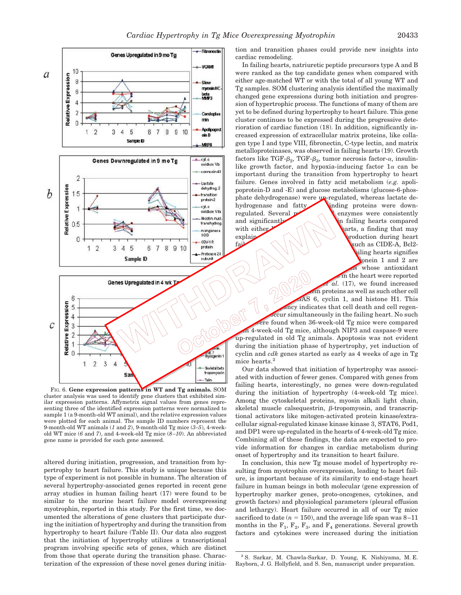



FIG. 6. **Gene expression patterns in WT and Tg animals.** SOM cluster analysis was used to identify gene clusters that exhibited similar expression patterns. Affymetrix signal values from genes representing three of the identified expression patterns were normalized to sample 1 (a 9-month-old WT animal), and the relative expression values were plotted for each animal. The sample ID numbers represent the 9-month-old WT animals (*1* and *2*), 9-month-old Tg mice (*3–5*), 4-weekold WT mice (*6* and *7*), and 4-week-old Tg mice (*8–10*). An abbreviated gene name is provided for each gene assessed.

altered during initiation, progression, and transition from hypertrophy to heart failure. This study is unique because this type of experiment is not possible in humans. The alteration of several hypertrophy-associated genes reported in recent gene array studies in human failing heart (17) were found to be similar to the murine heart failure model overexpressing myotrophin, reported in this study. For the first time, we documented the alterations of gene clusters that participate during the initiation of hypertrophy and during the transition from hypertrophy to heart failure (Table II). Our data also suggest that the initiation of hypertrophy utilizes a transcriptional program involving specific sets of genes, which are distinct from those that operate during the transition phase. Characterization of the expression of these novel genes during initiation and transition phases could provide new insights into cardiac remodeling.

In failing hearts, natriuretic peptide precursors type A and B were ranked as the top candidate genes when compared with either age-matched WT or with the total of all young WT and Tg samples. SOM clustering analysis identified the maximally changed gene expressions during both initiation and progression of hypertrophic process. The functions of many of them are yet to be defined during hypertrophy to heart failure. This gene cluster continues to be expressed during the progressive deterioration of cardiac function (18). In addition, significantly increased expression of extracellular matrix proteins, like collagen type I and type VIII, fibronectin, C-type lectin, and matrix metalloproteinases, was observed in failing hearts (19). Growth factors like TGF- $\beta_2$ , TGF- $\beta_3$ , tumor necrosis factor- $\alpha$ , insulinlike growth factor, and hypoxia-inducing factor  $1\alpha$  can be important during the transition from hypertrophy to heart failure. Genes involved in fatty acid metabolism (*e.g.* apolipoprotein-D and -E) and glucose metabolisms (glucose-6-phosphate dehydrogenase) were up-regulated, whereas lactate dehydrogenase and fatty and inding proteins were downregulated. Several  $\mathbb{Z}$  mitochondrial enzymes were consistently and significantly  $\sim$  \ \ \ \ \ \ failing hearts compared with either  $\bigcap_{x\in A} \bigcup_{x\in A} \bigcup_{x\in A}$  arts, a finding that may explain the reduced cardiac energy production during heart failure. Induction of apoptotic proteins such as CIDE-A, Bcl2 iling hearts signifies onein 1 and 2 are whose antioxidant in the heart were reported al. (17), we found increased  $6.6$ , cyclin 1, and histone H1. This incy indicates that cell death and cell regen-

expression of metallother cell<br>and the metallother cell death and cell regen-<br>occur simultaneously in the failing heart. No such<br>the 4-week-old Tg mice, althour in the failing heart. No such<br>the therefore found when 36-wee ecur simultaneously in the failing heart. No such ere found when 36-week-old Tg mice were compared  $n<sub>1</sub>$  4-week-old Tg mice, although NIP3 and caspase-9 were up-regulated in old Tg animals. Apoptosis was not evident during the initiation phase of hypertrophy, yet induction of cyclin and *cdk* genes started as early as 4 weeks of age in Tg mice hearts.<sup>2</sup>

> Our data showed that initiation of hypertrophy was associated with induction of fewer genes. Compared with genes from failing hearts, interestingly, no genes were down-regulated during the initiation of hypertrophy (4-week-old Tg mice). Among the cytoskeletal proteins, myosin alkali light chain, skeletal muscle calsequestrin,  $\beta$ -tropomyosin, and transcriptional activators like mitogen-activated protein kinase/extracellular signal-regulated kinase kinase kinase 3, STAT6, Pod1, and DP1 were up-regulated in the hearts of 4-week-old Tg mice. Combining all of these findings, the data are expected to provide information for changes in cardiac metabolism during onset of hypertrophy and its transition to heart failure.

> In conclusion, this new Tg mouse model of hypertrophy resulting from myotrophin overexpression, leading to heart failure, is important because of its similarity to end-stage heart failure in human beings in both molecular (gene expression of hypertrophy marker genes, proto-oncogenes, cytokines, and growth factors) and physiological parameters (pleural effusion and lethargy). Heart failure occurred in all of our Tg mice sacrificed to date  $(n = 150)$ , and the average life span was  $8-11$ months in the  $F_1$ ,  $F_2$ ,  $F_3$ , and  $F_4$  generations. Several growth factors and cytokines were increased during the initiation

<sup>2</sup> S. Sarkar, M. Chawla-Sarkar, D. Young, K. Nishiyama, M. E. Rayborn, J. G. Hollyfield, and S. Sen, manuscript under preparation.